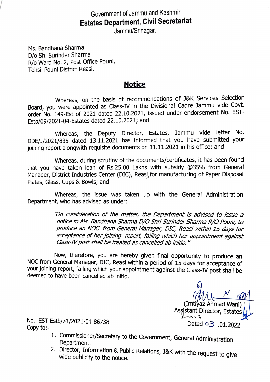## Government of Jammu and Kashmir Estates Department, Civil Secretariat

Jammu/Srinagar.

Ms. Bandhana Sharma D/o Sh. Surinder Sharma R/o Ward No. 2, Post Office Pouni, Tehsil Pouni District Reasi.

## **Notice**

Whereas, on the basis of recommendations of J&K Services Selection Board, you were appointed as Class-IV in the Divisional Cadre Jammu vide Govt. order No. 149-Est of 2021 dated 22.10.2021, issued under endorsement No. EST Estb/69/2021-04-Estates dated 22.10.2021; and

Whereas, the Deputy Director, Estates, Jammu vide letter No. DDE/1/2021/835 dated 13.11.2021 has informed that you have submitted your joining report alongwith requisite documents on 11.11.2021 in his office; and

Whereas, during scrutiny of the documents/certificates, it has been found that you have taken loan of Rs.25.00 Lakhs with subsidy @35% from General Manager, District Industries Center (DIC), Reasi, for manufacturing of Paper Disposal Plates, Glass, Cups & Bowls; and

Whereas, the issue was taken up with the General Administration Department, who has advised as under:

> On consideration of the matter, the Department is advised to issue a notice to Ms. Bandhana Sharma D/O Shri Surinder Sharma R/O Pouni, to produce an NOC from General Manager, DIC, Reasi within 15 days for acceptance of her joiníng report, faling which her appointment against Class-IV post shall be treated as cancelled ab initio. "

Now, therefore, you are hereby given final opportunity to produce an NOC from General Manager, DIC, Reasi within a period of 15 days for acceptance of your joining report, failing which your appointment against the Class-IV post shall be deemed to have been cancelled ab initio.

(Imtiyaz Ahmad Wani) ( Assistant Director, Estates Dated <sup>o</sup>3 .01.2022

No. EST-Estb/71/2021-04-86738 Copy to:

- 1. Commissioner/Secretary to the Government, General Administration<br>Department.<br>2. Director, Information & Public Relations, J&K with the request to give<br>wide publicity to the notice.
-